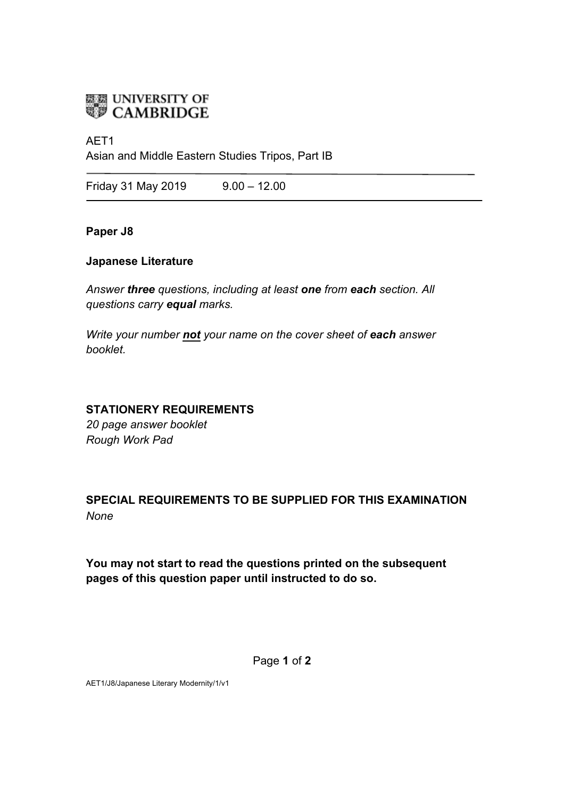

# AET1

Asian and Middle Eastern Studies Tripos, Part IB

Friday 31 May 2019 9.00 - 12.00

### **Paper J8**

# **Japanese Literature**

*Answer three questions, including at least one from each section. All questions carry equal marks.*

*Write your number not your name on the cover sheet of each answer booklet.* 

### **STATIONERY REQUIREMENTS**

*20 page answer booklet Rough Work Pad*

# **SPECIAL REQUIREMENTS TO BE SUPPLIED FOR THIS EXAMINATION** *None*

**You may not start to read the questions printed on the subsequent pages of this question paper until instructed to do so.**

Page **1** of **2**

AET1/J8/Japanese Literary Modernity/1/v1